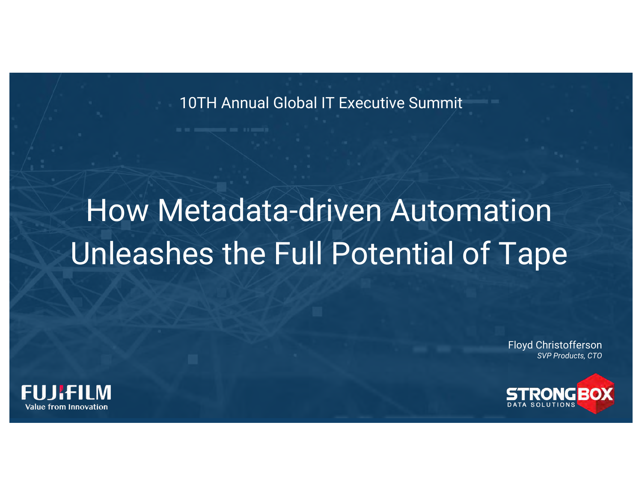10TH Annual Global IT Executive Summit

## How Metadata-driven Automation Unleashes the Full Potential of Tape

Floyd Christofferson *SVP Products, CTO*



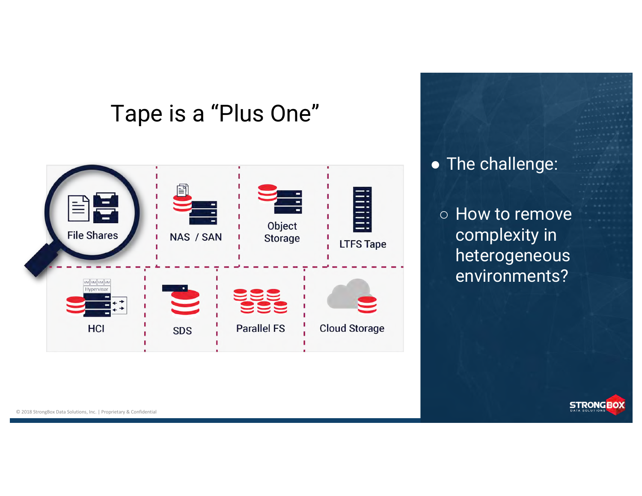## Tape is a "Plus One"



● The challenge:

○ How to remove complexity in heterogeneous environments?



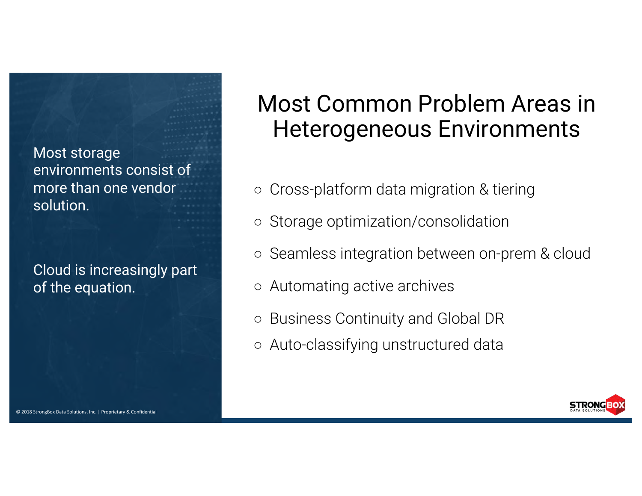Most storage environments consist of more than one vendor solution.

Cloud is increasingly part of the equation.

## Most Common Problem Areas in Heterogeneous Environments

- Cross-platform data migration & tiering
- Storage optimization/consolidation
- Seamless integration between on-prem & cloud
- Automating active archives
- Business Continuity and Global DR
- Auto-classifying unstructured data

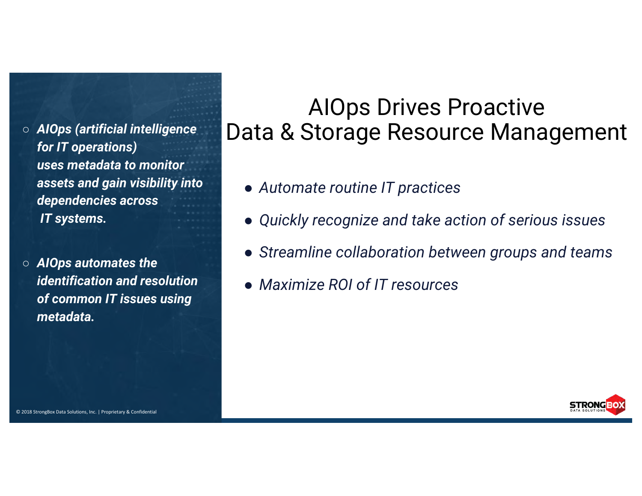- *AIOps (artificial intelligence for IT operations) uses metadata to monitor assets and gain visibility into dependencies across IT systems.*
- *AIOps automates the identification and resolution of common IT issues using metadata.*

### AIOps Drives Proactive Data & Storage Resource Management

- *Automate routine IT practices*
- *Quickly recognize and take action of serious issues*
- *Streamline collaboration between groups and teams*
- *Maximize ROI of IT resources*

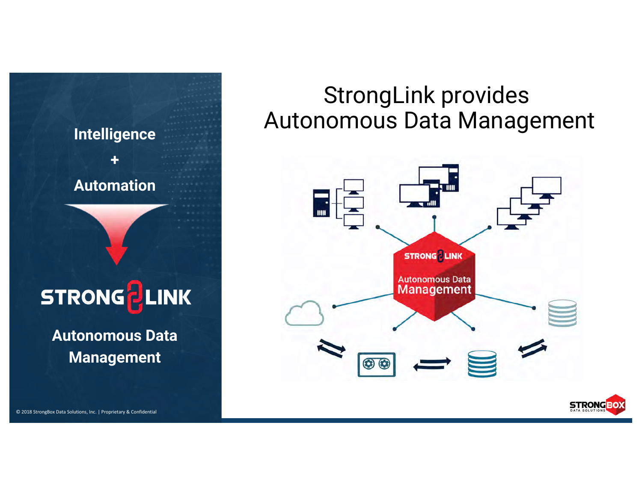# **+ Automation**

## STRONG PLINK

**Autonomous Data Management**

## StrongLink provides Autonomous Data Management **Intelligence**

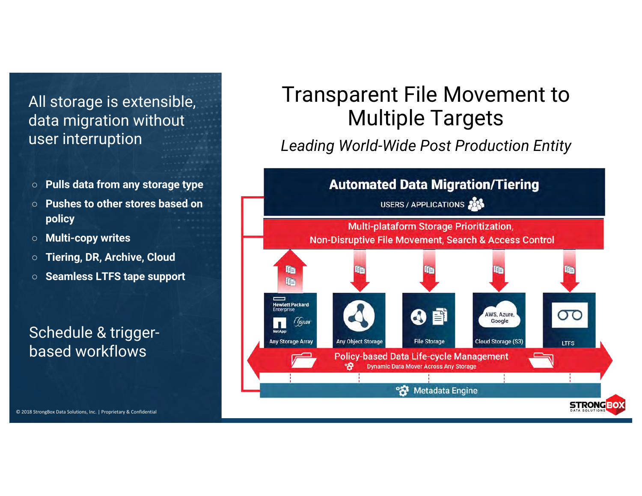#### All storage is extensible, data migration without user interruption

- **Pulls data from any storage type**
- **Pushes to other stores based on policy**
- **Multi-copy writes**
- **Tiering, DR, Archive, Cloud**
- **Seamless LTFS tape support**

#### Schedule & triggerbased workflows

#### Transparent File Movement to Multiple Targets

*Leading World-Wide Post Production Entity* 

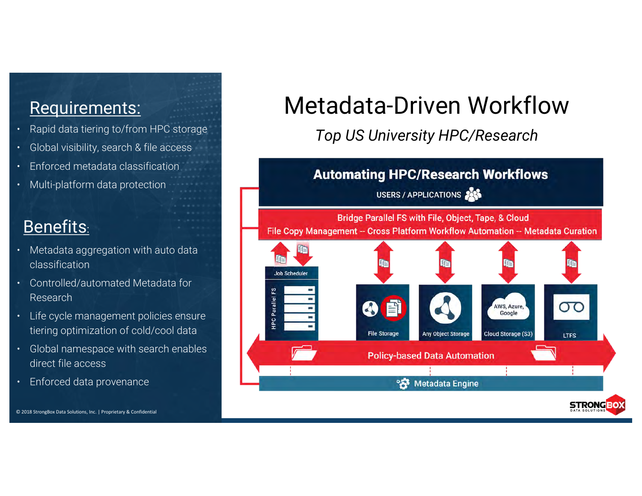#### Requirements:

- Rapid data tiering to/from HPC storage
- Global visibility, search & file access
- Enforced metadata classification
- Multi-platform data protection

#### Benefits:

- Metadata aggregation with auto data classification
- Controlled/automated Metadata for Research
- Life cycle management policies ensure tiering optimization of cold/cool data
- Global namespace with search enables direct file access
- Enforced data provenance

© 2018 StrongBox Data Solutions, Inc. | Proprietary & Confidential

## Metadata-Driven Workflow

*Top US University HPC/Research*

#### **Automating HPC/Research Workflows**

USERS / APPLICATIONS

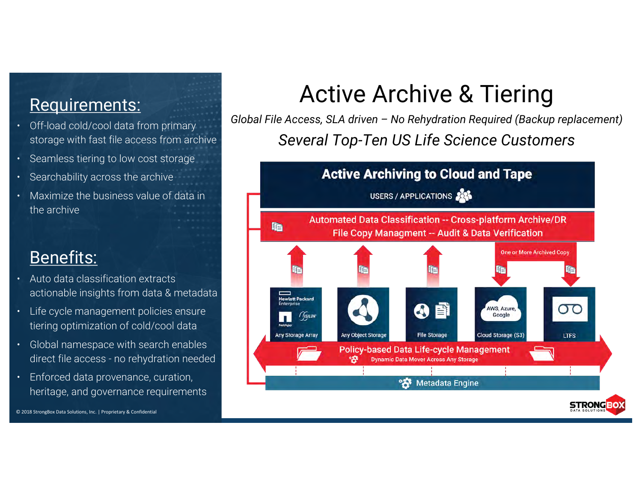#### Requirements:

- Off-load cold/cool data from primary storage with fast file access from archive
- Seamless tiering to low cost storage
- Searchability across the archive
- Maximize the business value of data in the archive

#### Benefits:

- Auto data classification extracts actionable insights from data & metadata
- Life cycle management policies ensure tiering optimization of cold/cool data
- Global namespace with search enables direct file access - no rehydration needed
- Enforced data provenance, curation, heritage, and governance requirements

## Active Archive & Tiering

*Global File Access, SLA driven – No Rehydration Required (Backup replacement) Several Top-Ten US Life Science Customers*

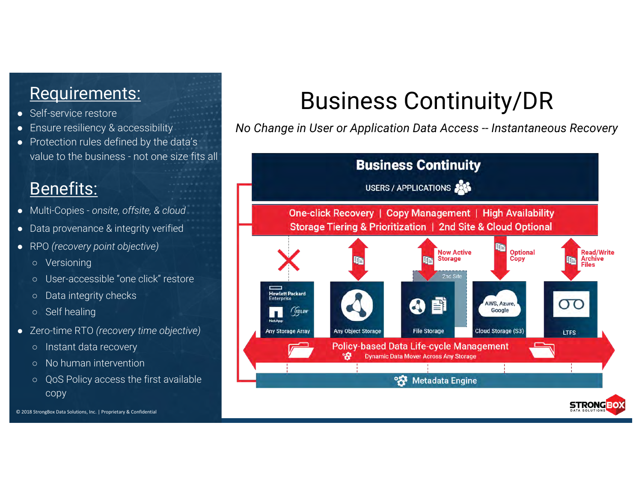#### Requirements:

- Self-service restore
- Ensure resiliency & accessibility
- Protection rules defined by the data's value to the business - not one size fits all

#### Benefits:

- Multi-Copies *onsite, offsite, & cloud*
- Data provenance & integrity verified
- RPO *(recovery point objective)*
	- Versioning
	- User-accessible "one click" restore
	- Data integrity checks
	- Self healing
- Zero-time RTO *(recovery time objective)*
	- Instant data recovery
	- No human intervention
	- QoS Policy access the first available copy

© 2018 StrongBox Data Solutions, Inc. | Proprietary & Confidential

## Business Continuity/DR

*No Change in User or Application Data Access -- Instantaneous Recovery*

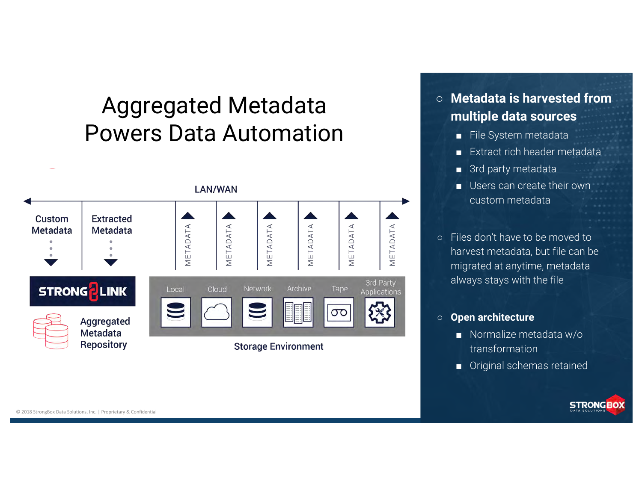## Aggregated Metadata Powers Data Automation



#### ○ **Metadata is harvested from multiple data sources**

- File System metadata
- Extract rich header metadata
- 3rd party metadata
- Users can create their own custom metadata
- Files don't have to be moved to harvest metadata, but file can be migrated at anytime, metadata always stays with the file

#### ○ **Open architecture**

- Normalize metadata w/o transformation
- Original schemas retained

**STRONGBOX**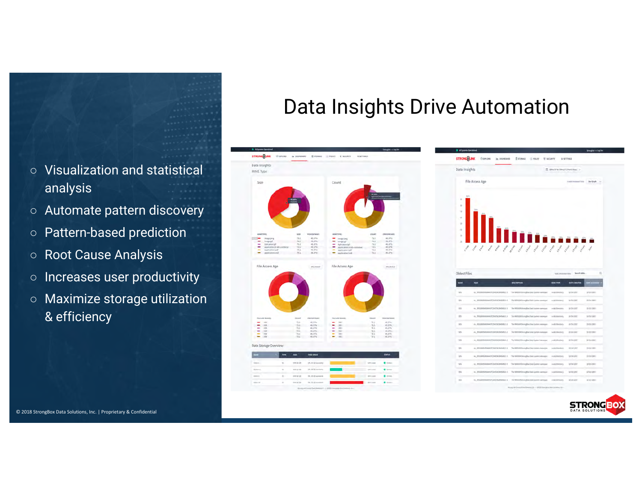#### ○ Visualization and statistical analysis

- Automate pattern discovery
- Pattern-based prediction
- Root Cause Analysis
- Increases user productivity
- Maximize storage utilization & efficiency

#### Data Insights Drive Automation